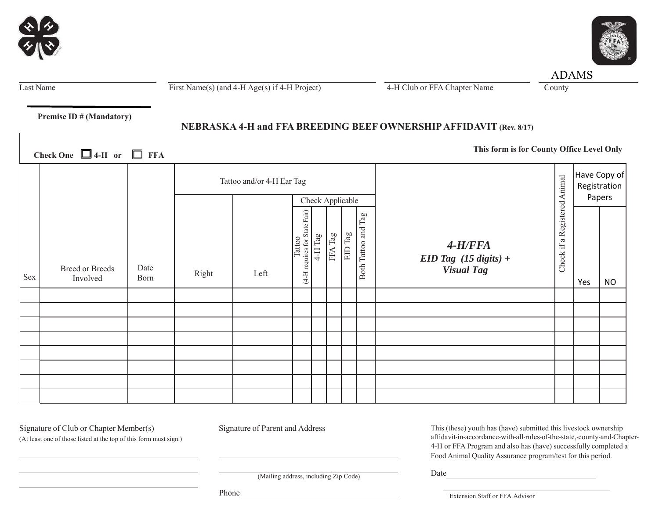|         | $\blacktriangle$ |  |
|---------|------------------|--|
| У.<br>O |                  |  |
|         |                  |  |



Last Name First Name(s) (and 4-H Age(s) if 4-H Project) 4-H Club or FFA Chapter Name County

ADAMS

 **Premise ID # (Mandatory)**

# **NEBRASKA 4-H and FFA BREEDING BEEF OWNERSHIP AFFIDAVIT (Rev. 8/17)**

**This form is for County Office Level Only Check One 4-H or FFA**

|     |                                    |              | Tattoo and/or 4-H Ear Tag |      |                                               |                  |         |                |                                | Have Copy of<br>Registration                     |                                                     |        |      |
|-----|------------------------------------|--------------|---------------------------|------|-----------------------------------------------|------------------|---------|----------------|--------------------------------|--------------------------------------------------|-----------------------------------------------------|--------|------|
|     |                                    |              |                           |      |                                               | Check Applicable |         |                |                                |                                                  |                                                     | Papers |      |
| Sex | <b>Breed or Breeds</b><br>Involved | Date<br>Born | Right                     | Left | requires for State Fair)<br>Tattoo<br>$(4-H)$ | $4-H$ Tag        | FFA Tag | $\rm{EID}$ Tag | $\Gamma$ ag<br>Both Tattoo and | $4-H/FFA$<br>EID Tag (15 digits) +<br>Visual Tag | a Registered Animal<br>$\ddot{\mathbb{H}}$<br>Check | Yes    | $NO$ |
|     |                                    |              |                           |      |                                               |                  |         |                |                                |                                                  |                                                     |        |      |
|     |                                    |              |                           |      |                                               |                  |         |                |                                |                                                  |                                                     |        |      |
|     |                                    |              |                           |      |                                               |                  |         |                |                                |                                                  |                                                     |        |      |
|     |                                    |              |                           |      |                                               |                  |         |                |                                |                                                  |                                                     |        |      |
|     |                                    |              |                           |      |                                               |                  |         |                |                                |                                                  |                                                     |        |      |
|     |                                    |              |                           |      |                                               |                  |         |                |                                |                                                  |                                                     |        |      |
|     |                                    |              |                           |      |                                               |                  |         |                |                                |                                                  |                                                     |        |      |
|     |                                    |              |                           |      |                                               |                  |         |                |                                |                                                  |                                                     |        |      |

Signature of Club or Chapter Member(s) Signature of Parent and Address

(At least one of those listed at the top of this form must sign.)

This (these) youth has (have) submitted this livestock ownership affidavit-in-accordance-with-all-rules-of-the-state,-county-and-Chapter-4-H or FFA Program and also has (have) successfully completed a Food Animal Quality Assurance program/test for this period.

(Mailing address, including Zip Code)

Phone

Extension Staff or FFA Advisor

Date